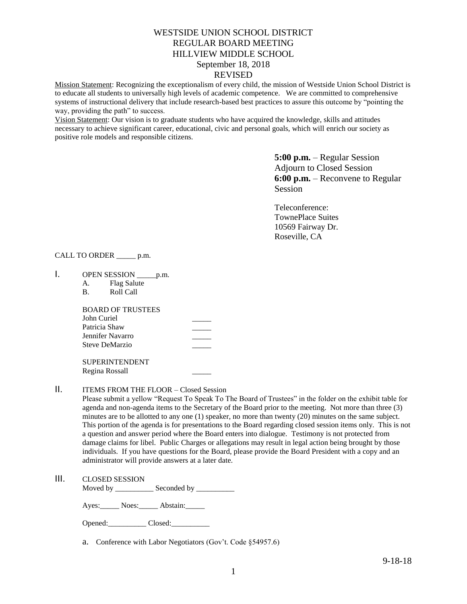# WESTSIDE UNION SCHOOL DISTRICT REGULAR BOARD MEETING HILLVIEW MIDDLE SCHOOL September 18, 2018 REVISED

Mission Statement: Recognizing the exceptionalism of every child, the mission of Westside Union School District is to educate all students to universally high levels of academic competence. We are committed to comprehensive systems of instructional delivery that include research-based best practices to assure this outcome by "pointing the way, providing the path" to success.

Vision Statement: Our vision is to graduate students who have acquired the knowledge, skills and attitudes necessary to achieve significant career, educational, civic and personal goals, which will enrich our society as positive role models and responsible citizens.

> **5:00 p.m.** – Regular Session Adjourn to Closed Session **6:00 p.m.** – Reconvene to Regular Session

Teleconference: TownePlace Suites 10569 Fairway Dr. Roseville, CA

## CALL TO ORDER \_\_\_\_\_ p.m.

- 1. OPEN SESSION \_\_\_\_\_\_ p.m.
	- A. Flag Salute
	- B. Roll Call

BOARD OF TRUSTEES John Curiel Patricia Shaw \_\_\_\_\_ Jennifer Navarro Steve DeMarzio

SUPERINTENDENT Regina Rossall \_\_\_\_\_

## II. ITEMS FROM THE FLOOR – Closed Session

Please submit a yellow "Request To Speak To The Board of Trustees" in the folder on the exhibit table for agenda and non-agenda items to the Secretary of the Board prior to the meeting. Not more than three (3) minutes are to be allotted to any one (1) speaker, no more than twenty (20) minutes on the same subject. This portion of the agenda is for presentations to the Board regarding closed session items only. This is not a question and answer period where the Board enters into dialogue. Testimony is not protected from damage claims for libel. Public Charges or allegations may result in legal action being brought by those individuals. If you have questions for the Board, please provide the Board President with a copy and an administrator will provide answers at a later date.

# III. CLOSED SESSION

Moved by \_\_\_\_\_\_\_\_\_\_\_\_\_ Seconded by \_\_\_\_\_\_\_\_\_\_\_

Ayes: Noes: Abstain:

| Opened: | Closed: |
|---------|---------|
|---------|---------|

a. Conference with Labor Negotiators (Gov't. Code §54957.6)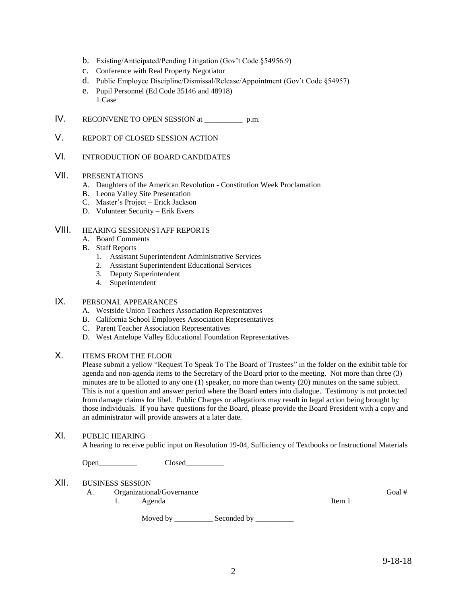- b. Existing/Anticipated/Pending Litigation (Gov't Code §54956.9)
- c. Conference with Real Property Negotiator
- d. Public Employee Discipline/Dismissal/Release/Appointment (Gov't Code §54957)
- e. Pupil Personnel (Ed Code 35146 and 48918) 1 Case
- IV. RECONVENE TO OPEN SESSION at \_\_\_\_\_\_\_\_\_\_ p.m.
- V. REPORT OF CLOSED SESSION ACTION
- VI. INTRODUCTION OF BOARD CANDIDATES

### VII. PRESENTATIONS

- A. Daughters of the American Revolution Constitution Week Proclamation
- B. Leona Valley Site Presentation
- C. Master's Project Erick Jackson
- D. Volunteer Security Erik Evers

## VIII. HEARING SESSION/STAFF REPORTS

- A. Board Comments
- B. Staff Reports
	- 1. Assistant Superintendent Administrative Services
	- 2. Assistant Superintendent Educational Services
	- 3. Deputy Superintendent
	- 4. Superintendent

# IX. PERSONAL APPEARANCES

- A. Westside Union Teachers Association Representatives
- B. California School Employees Association Representatives
- C. Parent Teacher Association Representatives
- D. West Antelope Valley Educational Foundation Representatives

#### X. ITEMS FROM THE FLOOR

Please submit a yellow "Request To Speak To The Board of Trustees" in the folder on the exhibit table for agenda and non-agenda items to the Secretary of the Board prior to the meeting. Not more than three (3) minutes are to be allotted to any one (1) speaker, no more than twenty (20) minutes on the same subject. This is not a question and answer period where the Board enters into dialogue. Testimony is not protected from damage claims for libel. Public Charges or allegations may result in legal action being brought by those individuals. If you have questions for the Board, please provide the Board President with a copy and an administrator will provide answers at a later date.

## XI. PUBLIC HEARING

A hearing to receive public input on Resolution 19-04, Sufficiency of Textbooks or Instructional Materials

Open Closed

# XII. BUSINESS SESSION

A. Organizational/Governance Goal # 1. Agenda

Item 1

Moved by \_\_\_\_\_\_\_\_\_\_\_\_\_ Seconded by \_\_\_\_\_\_\_\_\_\_\_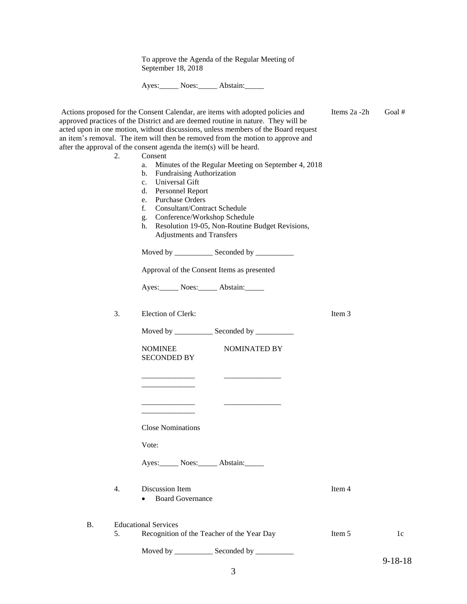To approve the Agenda of the Regular Meeting of September 18, 2018

Ayes: Noes: Abstain:

|                 | Actions proposed for the Consent Calendar, are items with adopted policies and<br>approved practices of the District and are deemed routine in nature. They will be<br>acted upon in one motion, without discussions, unless members of the Board request<br>an item's removal. The item will then be removed from the motion to approve and                                                                                                                                                                                 | Items 2a -2h | Goal#         |
|-----------------|------------------------------------------------------------------------------------------------------------------------------------------------------------------------------------------------------------------------------------------------------------------------------------------------------------------------------------------------------------------------------------------------------------------------------------------------------------------------------------------------------------------------------|--------------|---------------|
| 2.              | after the approval of the consent agenda the item(s) will be heard.<br>Consent<br>Minutes of the Regular Meeting on September 4, 2018<br>a.<br>Fundraising Authorization<br>b.<br>Universal Gift<br>$c_{\cdot}$<br><b>Personnel Report</b><br>d.<br><b>Purchase Orders</b><br>e.<br>$f_{\cdot}$<br><b>Consultant/Contract Schedule</b><br>Conference/Workshop Schedule<br>g.<br>Resolution 19-05, Non-Routine Budget Revisions,<br>h.<br><b>Adjustments and Transfers</b><br>Moved by ______________ Seconded by ___________ |              |               |
|                 | Approval of the Consent Items as presented<br>Ayes: Noes: Abstain:                                                                                                                                                                                                                                                                                                                                                                                                                                                           |              |               |
| 3.              | Election of Clerk:<br>Moved by ______________ Seconded by ___________                                                                                                                                                                                                                                                                                                                                                                                                                                                        | Item 3       |               |
|                 | <b>NOMINEE</b><br>NOMINATED BY<br><b>SECONDED BY</b>                                                                                                                                                                                                                                                                                                                                                                                                                                                                         |              |               |
|                 |                                                                                                                                                                                                                                                                                                                                                                                                                                                                                                                              |              |               |
|                 | <b>Close Nominations</b>                                                                                                                                                                                                                                                                                                                                                                                                                                                                                                     |              |               |
|                 | Vote:                                                                                                                                                                                                                                                                                                                                                                                                                                                                                                                        |              |               |
|                 | Ayes: Noes: Abstain:                                                                                                                                                                                                                                                                                                                                                                                                                                                                                                         |              |               |
| 4.              | Discussion Item<br><b>Board Governance</b>                                                                                                                                                                                                                                                                                                                                                                                                                                                                                   | Item 4       |               |
| <b>B.</b><br>5. | <b>Educational Services</b><br>Recognition of the Teacher of the Year Day                                                                                                                                                                                                                                                                                                                                                                                                                                                    | Item 5       | 1c            |
|                 | Moved by ______________ Seconded by ___________                                                                                                                                                                                                                                                                                                                                                                                                                                                                              |              | $9 - 18 - 18$ |
|                 | 3                                                                                                                                                                                                                                                                                                                                                                                                                                                                                                                            |              |               |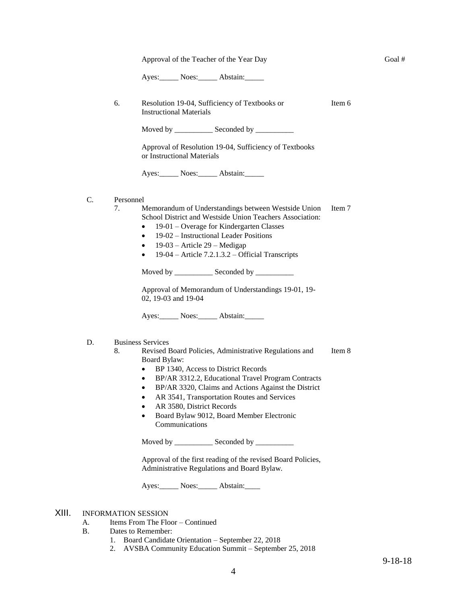Approval of the Teacher of the Year Day

Ayes: Noes: Abstain:

6. Resolution 19-04, Sufficiency of Textbooks or Instructional Materials Item 6

Moved by \_\_\_\_\_\_\_\_\_\_\_\_\_ Seconded by \_\_\_\_\_\_\_\_\_\_\_

Approval of Resolution 19-04, Sufficiency of Textbooks or Instructional Materials

Ayes: Noes: Abstain:

- C. Personnel
	- 7. Memorandum of Understandings between Westside Union School District and Westside Union Teachers Association: Item 7
		- 19-01 Overage for Kindergarten Classes
		- 19-02 Instructional Leader Positions
		- 19-03 Article 29 Medigap
		- $\bullet$  19-04 Article 7.2.1.3.2 Official Transcripts

Moved by \_\_\_\_\_\_\_\_\_\_\_\_\_ Seconded by \_\_\_\_\_\_\_\_\_\_\_

Approval of Memorandum of Understandings 19-01, 19- 02, 19-03 and 19-04

Ayes: Noes: Abstain:

- D. Business Services
	- 8. Revised Board Policies, Administrative Regulations and Board Bylaw: Item 8
		- BP 1340, Access to District Records
		- BP/AR 3312.2, Educational Travel Program Contracts
		- BP/AR 3320, Claims and Actions Against the District
		- AR 3541, Transportation Routes and Services
		- AR 3580, District Records
		- Board Bylaw 9012, Board Member Electronic Communications

Moved by \_\_\_\_\_\_\_\_\_\_\_\_\_ Seconded by \_\_\_\_\_\_\_\_\_\_

Approval of the first reading of the revised Board Policies, Administrative Regulations and Board Bylaw.

Ayes: Noes: Abstain:

# XIII. INFORMATION SESSION

- A. Items From The Floor Continued
- B. Dates to Remember:
	- 1. Board Candidate Orientation September 22, 2018
	- 2. AVSBA Community Education Summit September 25, 2018

Goal #